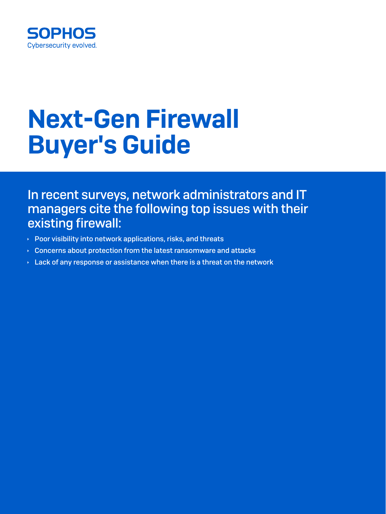

In recent surveys, network administrators and IT managers cite the following top issues with their existing firewall:

- $\rightarrow$  Poor visibility into network applications, risks, and threats
- $\rightarrow$  Concerns about protection from the latest ransomware and attacks
- $\rightarrow$  Lack of any response or assistance when there is a threat on the network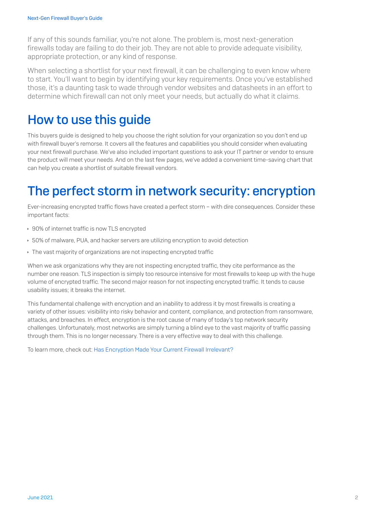If any of this sounds familiar, you're not alone. The problem is, most next-generation firewalls today are failing to do their job. They are not able to provide adequate visibility, appropriate protection, or any kind of response.

When selecting a shortlist for your next firewall, it can be challenging to even know where to start. You'll want to begin by identifying your key requirements. Once you've established those, it's a daunting task to wade through vendor websites and datasheets in an effort to determine which firewall can not only meet your needs, but actually do what it claims.

#### How to use this guide

This buyers guide is designed to help you choose the right solution for your organization so you don't end up with firewall buyer's remorse. It covers all the features and capabilities you should consider when evaluating your next firewall purchase. We've also included important questions to ask your IT partner or vendor to ensure the product will meet your needs. And on the last few pages, we've added a convenient time-saving chart that can help you create a shortlist of suitable firewall vendors.

### The perfect storm in network security: encryption

Ever-increasing encrypted traffic flows have created a perfect storm – with dire consequences. Consider these important facts:

- ▸ 90% of internet traffic is now TLS encrypted
- ▶ 50% of malware, PUA, and hacker servers are utilizing encryption to avoid detection
- Interpretive of organizations are not inspecting encrypted traffic

When we ask organizations why they are not inspecting encrypted traffic, they cite performance as the number one reason. TLS inspection is simply too resource intensive for most firewalls to keep up with the huge volume of encrypted traffic. The second major reason for not inspecting encrypted traffic. It tends to cause usability issues; it breaks the internet.

This fundamental challenge with encryption and an inability to address it by most firewalls is creating a variety of other issues: visibility into risky behavior and content, compliance, and protection from ransomware, attacks, and breaches. In effect, encryption is the root cause of many of today's top network security challenges. Unfortunately, most networks are simply turning a blind eye to the vast majority of traffic passing through them. This is no longer necessary. There is a very effective way to deal with this challenge.

To learn more, check out: [Has Encryption Made Your Current Firewall Irrelevant?](https://www.sophos.com/en-us/medialibrary/Gated-Assets/white-papers/sophos-encryption-firewall-wp.pdf)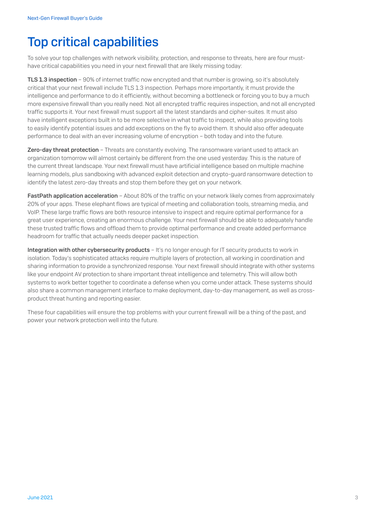# Top critical capabilities

To solve your top challenges with network visibility, protection, and response to threats, here are four musthave critical capabilities you need in your next firewall that are likely missing today:

TLS 1.3 inspection – 90% of internet traffic now encrypted and that number is growing, so it's absolutely critical that your next firewall include TLS 1.3 inspection. Perhaps more importantly, it must provide the intelligence and performance to do it efficiently, without becoming a bottleneck or forcing you to buy a much more expensive firewall than you really need. Not all encrypted traffic requires inspection, and not all encrypted traffic supports it. Your next firewall must support all the latest standards and cipher-suites. It must also have intelligent exceptions built in to be more selective in what traffic to inspect, while also providing tools to easily identify potential issues and add exceptions on the fly to avoid them. It should also offer adequate performance to deal with an ever increasing volume of encryption – both today and into the future.

Zero-day threat protection - Threats are constantly evolving. The ransomware variant used to attack an organization tomorrow will almost certainly be different from the one used yesterday. This is the nature of the current threat landscape. Your next firewall must have artificial intelligence based on multiple machine learning models, plus sandboxing with advanced exploit detection and crypto-guard ransomware detection to identify the latest zero-day threats and stop them before they get on your network.

FastPath application acceleration - About 80% of the traffic on your network likely comes from approximately 20% of your apps. These elephant flows are typical of meeting and collaboration tools, streaming media, and VoIP. These large traffic flows are both resource intensive to inspect and require optimal performance for a great user experience, creating an enormous challenge. Your next firewall should be able to adequately handle these trusted traffic flows and offload them to provide optimal performance and create added performance headroom for traffic that actually needs deeper packet inspection.

Integration with other cybersecurity products – It's no longer enough for IT security products to work in isolation. Today's sophisticated attacks require multiple layers of protection, all working in coordination and sharing information to provide a synchronized response. Your next firewall should integrate with other systems like your endpoint AV protection to share important threat intelligence and telemetry. This will allow both systems to work better together to coordinate a defense when you come under attack. These systems should also share a common management interface to make deployment, day-to-day management, as well as crossproduct threat hunting and reporting easier.

These four capabilities will ensure the top problems with your current firewall will be a thing of the past, and power your network protection well into the future.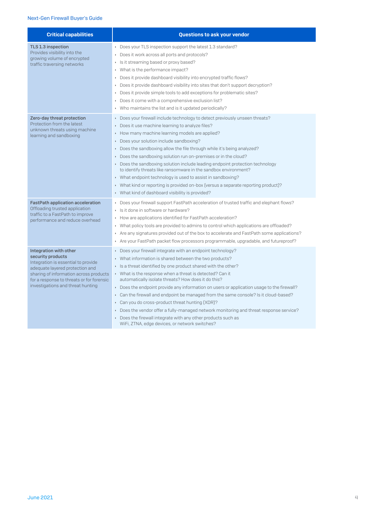| <b>Critical capabilities</b>                                                                                                                                                                                                                      | <b>Questions to ask your vendor</b>                                                                                                                                                                                                                                                                                                                                                                                                                                                                                                                                                                                                                                                                                                                                                                                                                            |
|---------------------------------------------------------------------------------------------------------------------------------------------------------------------------------------------------------------------------------------------------|----------------------------------------------------------------------------------------------------------------------------------------------------------------------------------------------------------------------------------------------------------------------------------------------------------------------------------------------------------------------------------------------------------------------------------------------------------------------------------------------------------------------------------------------------------------------------------------------------------------------------------------------------------------------------------------------------------------------------------------------------------------------------------------------------------------------------------------------------------------|
| TLS 1.3 inspection<br>Provides visibility into the<br>growing volume of encrypted<br>traffic traversing networks                                                                                                                                  | Does your TLS inspection support the latest 1.3 standard?<br>Does it work across all ports and protocols?<br>Is it streaming based or proxy based?<br>Þ.<br>What is the performance impact?<br>k<br>Does it provide dashboard visibility into encrypted traffic flows?<br>$\blacktriangleright$<br>Does it provide dashboard visibility into sites that don't support decryption?<br>$\blacktriangleright$<br>Does it provide simple tools to add exceptions for problematic sites?<br>Does it come with a comprehensive exclusion list?<br>k<br>▶ Who maintains the list and is it updated periodically?                                                                                                                                                                                                                                                      |
| Zero-day threat protection<br>Protection from the latest<br>unknown threats using machine<br>learning and sandboxing                                                                                                                              | Does your firewall include technology to detect previously unseen threats?<br>k<br>Does it use machine learning to analyze files?<br>$\blacktriangleright$<br>How many machine learning models are applied?<br>$\blacktriangleright$<br>Does your solution include sandboxing?<br>$\blacktriangleright$<br>Does the sandboxing allow the file through while it's being analyzed?<br>$\blacktriangleright$<br>Does the sandboxing solution run on-premises or in the cloud?<br>$\blacktriangleright$<br>▶ Does the sandboxing solution include leading endpoint protection technology<br>to identify threats like ransomware in the sandbox environment?<br>What endpoint technology is used to assist in sandboxing?<br>• What kind or reporting is provided on-box [versus a separate reporting product]?<br>▶ What kind of dashboard visibility is provided? |
| <b>FastPath application acceleration</b><br>Offloading trusted application<br>traffic to a FastPath to improve<br>performance and reduce overhead                                                                                                 | Does your firewall support FastPath acceleration of trusted traffic and elephant flows?<br>$\blacktriangleright$<br>Is it done in software or hardware?<br>k<br>How are applications identified for FastPath acceleration?<br>• What policy tools are provided to admins to control which applications are offloaded?<br>Are any signatures provided out of the box to accelerate and FastPath some applications?<br>k.<br>Are your FastPath packet flow processors programmable, upgradable, and futureproof?<br>$\blacktriangleright$                                                                                                                                                                                                                                                                                                                        |
| Integration with other<br>security products<br>Integration is essential to provide<br>adequate layered protection and<br>sharing of information across products<br>for a response to threats or for forensic<br>investigations and threat hunting | Does your firewall integrate with an endpoint technology?<br>$\blacktriangleright$<br>What information is shared between the two products?<br>k.<br>Is a threat identified by one product shared with the other?<br>▶ What is the response when a threat is detected? Can it<br>automatically isolate threats? How does it do this?<br>Does the endpoint provide any information on users or application usage to the firewall?<br>$\blacktriangleright$<br>Can the firewall and endpoint be managed from the same console? Is it cloud-based?<br>$\blacktriangleright$<br>Can you do cross-product threat hunting (XDR)?<br>$\blacktriangleright$<br>Does the vendor offer a fully-managed network monitoring and threat response service?<br>▶ Does the firewall integrate with any other products such as<br>WiFi, ZTNA, edge devices, or network switches? |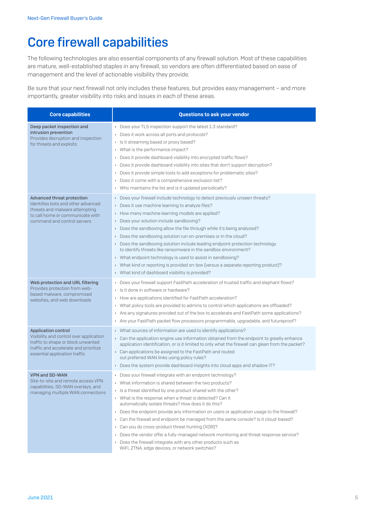## Core firewall capabilities

The following technologies are also essential components of any firewall solution. Most of these capabilities are mature, well-established staples in any firewall, so vendors are often differentiated based on ease of management and the level of actionable visibility they provide.

Be sure that your next firewall not only includes these features, but provides easy management – and more importantly, greater visibility into risks and issues in each of these areas.

| <b>Core capabilities</b>                                                                                                                                                              | Questions to ask your vendor                                                                                                                                                                                                                                                                                                                                                                                                                                                                                                                                                                                                                                                                                                                                                                                                                                                                  |
|---------------------------------------------------------------------------------------------------------------------------------------------------------------------------------------|-----------------------------------------------------------------------------------------------------------------------------------------------------------------------------------------------------------------------------------------------------------------------------------------------------------------------------------------------------------------------------------------------------------------------------------------------------------------------------------------------------------------------------------------------------------------------------------------------------------------------------------------------------------------------------------------------------------------------------------------------------------------------------------------------------------------------------------------------------------------------------------------------|
| Deep packet inspection and<br>intrusion prevention<br>Provides decryption and inspection<br>for threats and exploits                                                                  | Does your TLS inspection support the latest 1.3 standard?<br>Does it work across all ports and protocols?<br>▶ Is it streaming based or proxy based?<br>• What is the performance impact?<br>Does it provide dashboard visibility into encrypted traffic flows?<br>$\blacktriangleright$<br>Does it provide dashboard visibility into sites that don't support decryption?<br>k.<br>Does it provide simple tools to add exceptions for problematic sites?<br>Þ.<br>Does it come with a comprehensive exclusion list?<br>k<br>▶ Who maintains the list and is it updated periodically?                                                                                                                                                                                                                                                                                                         |
| <b>Advanced threat protection</b><br>Identifies bots and other advanced<br>threats and malware attempting<br>to call home or communicate with<br>command and control servers          | Does your firewall include technology to detect previously unseen threats?<br>k,<br>Does it use machine learning to analyze files?<br>$\blacktriangleright$<br>How many machine learning models are applied?<br>k,<br>Does your solution include sandboxing?<br>k,<br>Does the sandboxing allow the file through while it's being analyzed?<br>k,<br>Does the sandboxing solution run on-premises or in the cloud?<br>k,<br>Does the sandboxing solution include leading endpoint protection technology<br>$\blacktriangleright$<br>to identify threats like ransomware in the sandbox environment?<br>▶ What endpoint technology is used to assist in sandboxing?<br>► What kind or reporting is provided on-box [versus a separate reporting product]?<br>What kind of dashboard visibility is provided?                                                                                    |
| Web protection and URL filtering<br>Provides protection from web-<br>based malware, compromised<br>websites, and web downloads                                                        | ▶ Does your firewall support FastPath acceleration of trusted traffic and elephant flows?<br>Is it done in software or hardware?<br>$\blacktriangleright$<br>How are applications identified for FastPath acceleration?<br>• What policy tools are provided to admins to control which applications are offloaded?<br>Are any signatures provided out of the box to accelerate and FastPath some applications?<br>×.<br>Are your FastPath packet flow processors programmable, upgradable, and futureproof?                                                                                                                                                                                                                                                                                                                                                                                   |
| <b>Application control</b><br>Visibility and control over application<br>traffic to shape or block unwanted<br>traffic and accelerate and prioritize<br>essential application traffic | • What sources of information are used to identify applications?<br>Can the application engine use information obtained from the endpoint to greatly enhance<br>$\blacktriangleright$<br>application identification, or is it limited to only what the firewall can glean from the packet?<br>Can applications be assigned to the FastPath and routed<br>out preferred WAN links using policy rules?<br>Does the system provide dashboard insights into cloud apps and shadow IT?<br>$\blacktriangleright$                                                                                                                                                                                                                                                                                                                                                                                    |
| <b>VPN and SD-WAN</b><br>Site-to-site and remote access VPN<br>capabilities, SD-WAN overlays, and<br>managing multiple WAN connections                                                | Does your firewall integrate with an endpoint technology?<br>$\blacktriangleright$<br>What information is shared between the two products?<br>$\blacktriangleright$<br>▶ Is a threat identified by one product shared with the other?<br>▶ What is the response when a threat is detected? Can it<br>automatically isolate threats? How does it do this?<br>Does the endpoint provide any information on users or application usage to the firewall?<br>$\blacktriangleright$<br>Can the firewall and endpoint be managed from the same console? Is it cloud-based?<br>$\blacktriangleright$<br>Can you do cross-product threat hunting (XDR)?<br>Þ.<br>Does the vendor offer a fully-managed network monitoring and threat response service?<br>×.<br>Does the firewall integrate with any other products such as<br>$\blacktriangleright$<br>WiFi, ZTNA, edge devices, or network switches? |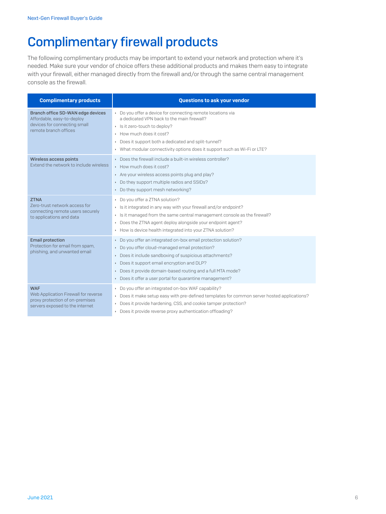# Complimentary firewall products

The following complimentary products may be important to extend your network and protection where it's needed. Make sure your vendor of choice offers these additional products and makes them easy to integrate with your firewall, either managed directly from the firewall and/or through the same central management console as the firewall.

| <b>Complimentary products</b>                                                                                            | <b>Questions to ask your vendor</b>                                                                                                                                                                                                                                                                                                       |
|--------------------------------------------------------------------------------------------------------------------------|-------------------------------------------------------------------------------------------------------------------------------------------------------------------------------------------------------------------------------------------------------------------------------------------------------------------------------------------|
| Branch office SD-WAN edge devices<br>Affordable, easy-to-deploy<br>devices for connecting small<br>remote branch offices | • Do you offer a device for connecting remote locations via<br>a dedicated VPN back to the main firewall?<br>▶ Is it zero-touch to deploy?<br>How much does it cost?<br>Does it support both a dedicated and split-tunnel?<br>▶ What modular connectivity options does it support such as Wi-Fi or LTE?                                   |
| Wireless access points<br>Extend the network to include wireless                                                         | Does the firewall include a built-in wireless controller?<br>How much does it cost?<br>Are your wireless access points plug and play?<br>Do they support multiple radios and SSIDs?<br>Do they support mesh networking?                                                                                                                   |
| <b>ZTNA</b><br>Zero-trust network access for<br>connecting remote users securely<br>to applications and data             | Do you offer a ZTNA solution?<br>> Is it integrated in any way with your firewall and/or endpoint?<br>Is it managed from the same central management console as the firewall?<br>Does the ZTNA agent deploy alongside your endpoint agent?<br>How is device health integrated into your ZTNA solution?                                    |
| <b>Email protection</b><br>Protection for email from spam,<br>phishing, and unwanted email                               | Do you offer an integrated on-box email protection solution?<br>Do you offer cloud-managed email protection?<br>Does it include sandboxing of suspicious attachments?<br>Does it support email encryption and DLP?<br>Does it provide domain-based routing and a full MTA mode?<br>Does it offer a user portal for quarantine management? |
| <b>WAF</b><br>Web Application Firewall for reverse<br>proxy protection of on-premises<br>servers exposed to the internet | Do you offer an integrated on-box WAF capability?<br>Does it make setup easy with pre-defined templates for common server hosted applications?<br>Does it provide hardening, CSS, and cookie tamper protection?<br>Does it provide reverse proxy authentication offloading?                                                               |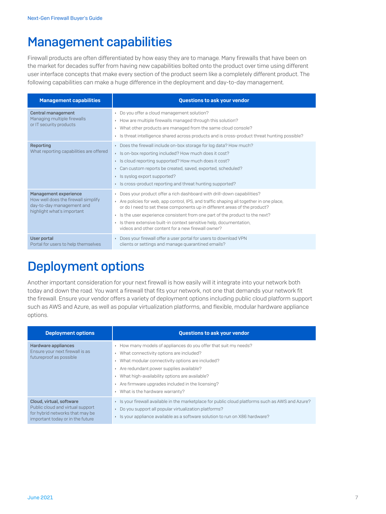### Management capabilities

Firewall products are often differentiated by how easy they are to manage. Many firewalls that have been on the market for decades suffer from having new capabilities bolted onto the product over time using different user interface concepts that make every section of the product seem like a completely different product. The following capabilities can make a huge difference in the deployment and day-to-day management.

| <b>Management capabilities</b>                                                                                          | Questions to ask your vendor                                                                                                                                                                                                                                                                                                                                                                                                                                  |
|-------------------------------------------------------------------------------------------------------------------------|---------------------------------------------------------------------------------------------------------------------------------------------------------------------------------------------------------------------------------------------------------------------------------------------------------------------------------------------------------------------------------------------------------------------------------------------------------------|
| Central management<br>Managing multiple firewalls<br>or IT security products                                            | Do you offer a cloud management solution?<br>How are multiple firewalls managed through this solution?<br>• What other products are managed from the same cloud console?<br>Is threat intelligence shared across products and is cross-product threat hunting possible?                                                                                                                                                                                       |
| Reporting<br>What reporting capabilities are offered                                                                    | Does the firewall include on-box storage for log data? How much?<br>> Is on-box reporting included? How much does it cost?<br>► Is cloud reporting supported? How much does it cost?<br>▶ Can custom reports be created, saved, exported, scheduled?<br>▶ Is syslog export supported?<br>▶ Is cross-product reporting and threat hunting supported?                                                                                                           |
| Management experience<br>How well does the firewall simplify<br>day-to-day management and<br>highlight what's important | ▶ Does your product offer a rich dashboard with drill-down capabilities?<br>Are policies for web, app control, IPS, and traffic shaping all together in one place,<br>or do I need to set these components up in different areas of the product?<br>Is the user experience consistent from one part of the product to the next?<br>▶ Is there extensive built-in context sensitive help, documentation,<br>videos and other content for a new firewall owner? |
| User portal<br>Portal for users to help themselves                                                                      | ▶ Does your firewall offer a user portal for users to download VPN<br>clients or settings and manage quarantined emails?                                                                                                                                                                                                                                                                                                                                      |

#### Deployment options

Another important consideration for your next firewall is how easily will it integrate into your network both today and down the road. You want a firewall that fits your network, not one that demands your network fit the firewall. Ensure your vendor offers a variety of deployment options including public cloud platform support such as AWS and Azure, as well as popular virtualization platforms, and flexible, modular hardware appliance options.

| <b>Deployment options</b>                                                                                                           | Questions to ask your vendor                                                                                                                                                                                                                                                                                                                                            |
|-------------------------------------------------------------------------------------------------------------------------------------|-------------------------------------------------------------------------------------------------------------------------------------------------------------------------------------------------------------------------------------------------------------------------------------------------------------------------------------------------------------------------|
| Hardware appliances<br>Ensure your next firewall is as<br>futureproof as possible                                                   | How many models of appliances do you offer that suit my needs?<br>What connectivity options are included?<br>$\blacktriangleright$<br>What modular connectivity options are included?<br>Are redundant power supplies available?<br>What high-availability options are available?<br>Are firmware upgrades included in the licensing?<br>What is the hardware warranty? |
| Cloud, virtual, software<br>Public cloud and virtual support<br>for hybrid networks that may be<br>important today or in the future | Is your firewall available in the marketplace for public cloud platforms such as AWS and Azure?<br>Do you support all popular virtualization platforms?<br>Is your appliance available as a software solution to run on X86 hardware?                                                                                                                                   |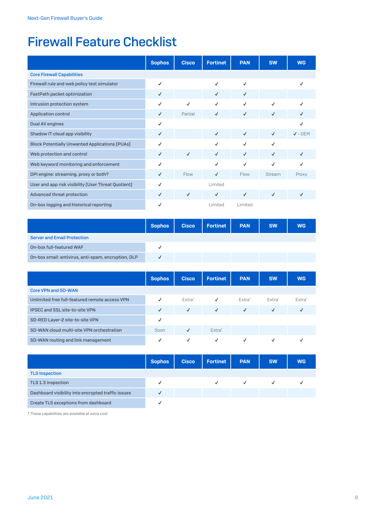# Firewall Feature Checklist

|                                                       | <b>Sophos</b> | <b>Cisco</b> | <b>Fortinet</b> | <b>PAN</b>   | <b>SW</b>    | <b>WG</b>    |
|-------------------------------------------------------|---------------|--------------|-----------------|--------------|--------------|--------------|
| <b>Core Firewall Capabilities</b>                     |               |              |                 |              |              |              |
| Firewall rule and web policy test simulator           | ✓             |              | $\checkmark$    | $\checkmark$ |              | ✓            |
| FastPath packet optimization                          | $\checkmark$  |              | $\checkmark$    | $\checkmark$ |              |              |
| Intrusion protection system                           | ✓             | $\checkmark$ | $\checkmark$    | $\checkmark$ | $\checkmark$ | ✓            |
| <b>Application control</b>                            | $\checkmark$  | Partial      | $\checkmark$    | $\checkmark$ | $\checkmark$ | ✓            |
| Dual AV engines                                       | ✓             |              |                 |              |              | $\checkmark$ |
| Shadow IT cloud app visibility                        | $\checkmark$  |              | $\checkmark$    | $\checkmark$ | $\checkmark$ | $J -$ OFM    |
| <b>Block Potentially Unwanted Applications (PUAs)</b> | ✓             |              | $\checkmark$    | $\checkmark$ | $\checkmark$ |              |
| Web protection and control                            | $\checkmark$  | $\checkmark$ | $\checkmark$    | $\checkmark$ | $\checkmark$ | $\checkmark$ |
| Web keyword monitoring and enforcement                | ✓             |              | $\checkmark$    | $\checkmark$ | $\checkmark$ | ✓            |
| DPI engine: streaming, proxy or both?                 | $\checkmark$  | Flow         | $\checkmark$    | Flow         | Stream       | Proxy        |
| User and app risk visibility (User Threat Quotient)   | ✓             |              | Limited         |              |              |              |
| <b>Advanced threat protection</b>                     | $\checkmark$  | $\checkmark$ | $\checkmark$    | $\checkmark$ | $\checkmark$ | ✓            |
| On-box logging and historical reporting               | ✓             |              | Limited         | Limited      |              |              |

|                                                     | <b>Sophos</b> | <b>Cisco</b> | <b>Fortinet</b> | <b>PAN</b> | <b>SW</b> | <b>WG</b> |
|-----------------------------------------------------|---------------|--------------|-----------------|------------|-----------|-----------|
| <b>Server and Email Protection</b>                  |               |              |                 |            |           |           |
| On-box full-featured WAF                            |               |              |                 |            |           |           |
| On-box email: antivirus, anti-spam, encryption, DLP |               |              |                 |            |           |           |

|                                                | <b>Sophos</b> | <b>Cisco</b> | <b>Fortinet</b>    | <b>PAN</b>   | <b>SW</b>    | <b>WG</b>    |
|------------------------------------------------|---------------|--------------|--------------------|--------------|--------------|--------------|
| <b>Core VPN and SD-WAN</b>                     |               |              |                    |              |              |              |
| Unlimited free full-featured remote access VPN | $\checkmark$  | Fxtra*       | $\checkmark$       | Fxtra*       | Fxtra*       | Fxtra*       |
| <b>IPSEC and SSL site-to-site VPN</b>          | $\sqrt{2}$    | $\checkmark$ | $\sqrt{2}$         | $\checkmark$ | $\checkmark$ | $\checkmark$ |
| SD-RED Layer-2 site-to-site VPN                | $\checkmark$  |              |                    |              |              |              |
| SD-WAN cloud multi-site VPN orchestration      | Soon          | √            | Extra <sup>*</sup> |              |              |              |
| SD-WAN routing and link management             | $\checkmark$  | ✓            | ✓                  | ✓            | √            |              |

|                                                    | <b>Sophos</b> | <b>Cisco</b> | <b>Fortinet</b> | <b>PAN</b>   | <b>SW</b>    | <b>WG</b> |
|----------------------------------------------------|---------------|--------------|-----------------|--------------|--------------|-----------|
| <b>TLS Inspection</b>                              |               |              |                 |              |              |           |
| TLS 1.3 inspection                                 | √             |              | $\checkmark$    | $\checkmark$ | $\checkmark$ |           |
| Dashboard visibility into encrypted traffic issues | $\checkmark$  |              |                 |              |              |           |
| Create TLS exceptions from dashboard               | v             |              |                 |              |              |           |

\* These capabilities are available at extra cost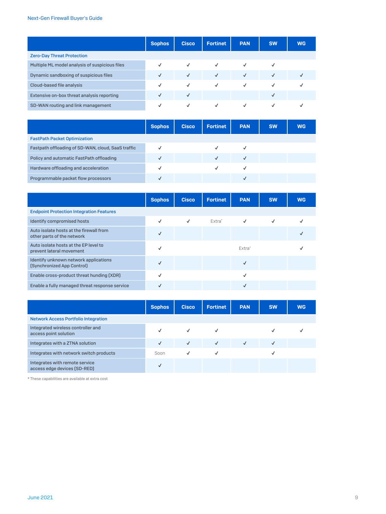|                                                | <b>Sophos</b> | <b>Cisco</b> | <b>Fortinet</b> | <b>PAN</b>   | <b>SW</b> | <b>WG</b> |
|------------------------------------------------|---------------|--------------|-----------------|--------------|-----------|-----------|
| <b>Zero-Day Threat Protection</b>              |               |              |                 |              |           |           |
| Multiple ML model analysis of suspicious files |               | $\checkmark$ | $\checkmark$    | $\checkmark$ |           |           |
| Dynamic sandboxing of suspicious files         | √             | $\sqrt{2}$   | $\checkmark$    | $\sqrt{ }$   | √         |           |
| Cloud-based file analysis                      | ✓             | $\checkmark$ | $\checkmark$    | $\checkmark$ | √         |           |
| Extensive on-box threat analysis reporting     |               | $\checkmark$ |                 |              |           |           |
| SD-WAN routing and link management             | V             | $\checkmark$ | $\checkmark$    | $\checkmark$ | √         |           |

|                                                    | <b>Sophos</b> | <b>Cisco</b> | <b>Fortinet</b> | <b>PAN</b> | <b>SW</b> | <b>WG</b> |
|----------------------------------------------------|---------------|--------------|-----------------|------------|-----------|-----------|
| <b>FastPath Packet Optimization</b>                |               |              |                 |            |           |           |
| Fastpath offloading of SD-WAN, cloud, SaaS traffic |               |              | J               | √          |           |           |
| Policy and automatic FastPath offloading           | ✓             |              | $\checkmark$    |            |           |           |
| Hardware offloading and acceleration               |               |              | √               | √          |           |           |
| Programmable packet flow processors                | √             |              |                 |            |           |           |

|                                                                       | <b>Sophos</b> | <b>Cisco</b> | <b>Fortinet</b> | <b>PAN</b>   | <b>SW</b> | <b>WG</b> |
|-----------------------------------------------------------------------|---------------|--------------|-----------------|--------------|-----------|-----------|
| <b>Endpoint Protection Integration Features</b>                       |               |              |                 |              |           |           |
| <b>Identify compromised hosts</b>                                     | √             | $\checkmark$ | Fxtra*          | $\checkmark$ | √         |           |
| Auto isolate hosts at the firewall from<br>other parts of the network |               |              |                 |              |           |           |
| Auto isolate hosts at the EP level to<br>prevent lateral movement     | ✓             |              |                 | Fxtra*       |           |           |
| Identify unknown network applications<br>[Synchronized App Control]   | ✓             |              |                 | √            |           |           |
| Enable cross-product threat hunding [XDR]                             | √             |              |                 | √            |           |           |
| Enable a fully managed threat response service                        |               |              |                 | $\checkmark$ |           |           |

|                                                                | <b>Sophos</b> | <b>Cisco</b> | <b>Fortinet</b> | <b>PAN</b>   | <b>SW</b>    | <b>WG</b> |
|----------------------------------------------------------------|---------------|--------------|-----------------|--------------|--------------|-----------|
| <b>Network Access Portfolio Integration</b>                    |               |              |                 |              |              |           |
| Integrated wireless controller and<br>access point solution    |               | $\checkmark$ | √               |              |              |           |
| Integrates with a ZTNA solution                                | $\checkmark$  | $\sqrt{2}$   | $\sqrt{2}$      | $\checkmark$ | $\checkmark$ |           |
| Integrates with network switch products                        | Soon          | $\checkmark$ | √               |              | √            |           |
| Integrates with remote service<br>access edge devices (SD-RED) | $\checkmark$  |              |                 |              |              |           |

\* These capabilities are available at extra cost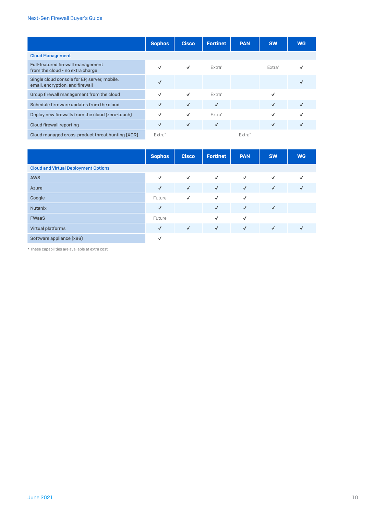|                                                                                 | <b>Sophos</b>      | <b>Cisco</b> | <b>Fortinet</b> | <b>PAN</b>         | <b>SW</b>    | <b>WG</b> |
|---------------------------------------------------------------------------------|--------------------|--------------|-----------------|--------------------|--------------|-----------|
| <b>Cloud Management</b>                                                         |                    |              |                 |                    |              |           |
| Full-featured firewall management<br>from the cloud - no extra charge           | ✓                  | $\checkmark$ | Fxtra*          |                    | Extra*       |           |
| Single cloud console for EP, server, mobile,<br>email, encryption, and firewall | $\checkmark$       |              |                 |                    |              |           |
| Group firewall management from the cloud                                        | $\checkmark$       | $\checkmark$ | Fxtra*          |                    | √            |           |
| Schedule firmware updates from the cloud                                        | $\checkmark$       | $\checkmark$ | $\checkmark$    |                    | $\checkmark$ |           |
| Deploy new firewalls from the cloud (zero-touch)                                | ✓                  | ✓            | Fxtra*          |                    | ✓            |           |
| <b>Cloud firewall reporting</b>                                                 | ✓                  | $\checkmark$ | $\sqrt{ }$      |                    | ✓            |           |
| Cloud managed cross-product threat hunting (XDR)                                | Extra <sup>*</sup> |              |                 | Fxtra <sup>*</sup> |              |           |

|                                             | <b>Sophos</b> | <b>Cisco</b> | <b>Fortinet</b> | <b>PAN</b>   | <b>SW</b>    | <b>WG</b>    |  |
|---------------------------------------------|---------------|--------------|-----------------|--------------|--------------|--------------|--|
| <b>Cloud and Virtual Deployment Options</b> |               |              |                 |              |              |              |  |
| <b>AWS</b>                                  | $\checkmark$  | $\checkmark$ | $\checkmark$    | $\checkmark$ | $\checkmark$ | ✓            |  |
| Azure                                       | $\checkmark$  | $\checkmark$ | $\checkmark$    | $\sqrt{ }$   | $\sqrt{ }$   | $\checkmark$ |  |
| Google                                      | Future        | $\checkmark$ | $\checkmark$    | $\checkmark$ |              |              |  |
| <b>Nutanix</b>                              | $\checkmark$  |              | $\sqrt{ }$      | $\checkmark$ | $\sqrt{ }$   |              |  |
| <b>FWaaS</b>                                | Future        |              | $\checkmark$    | $\checkmark$ |              |              |  |
| <b>Virtual platforms</b>                    | $\sqrt{ }$    | $\checkmark$ | $\sqrt{2}$      | $\checkmark$ | $\sqrt{ }$   | $\checkmark$ |  |
| Software appliance [x86]                    | $\checkmark$  |              |                 |              |              |              |  |

\* These capabilities are available at extra cost